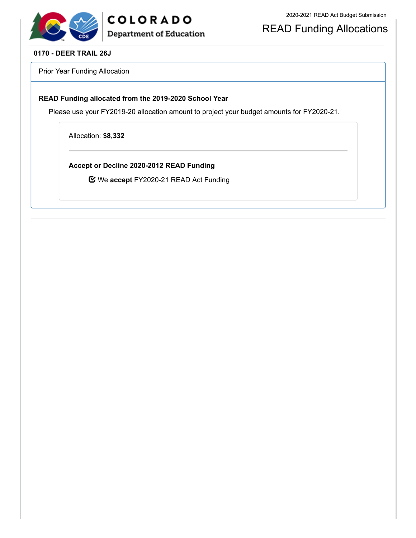

READ Funding Allocations

#### **0170 - DEER TRAIL 26J**

Prior Year Funding Allocation

#### **READ Funding allocated from the 2019-2020 School Year**

Please use your FY2019-20 allocation amount to project your budget amounts for FY2020-21.

Allocation: **\$8,332**

**Accept or Decline 2020-2012 READ Funding**

We **accept** FY2020-21 READ Act Funding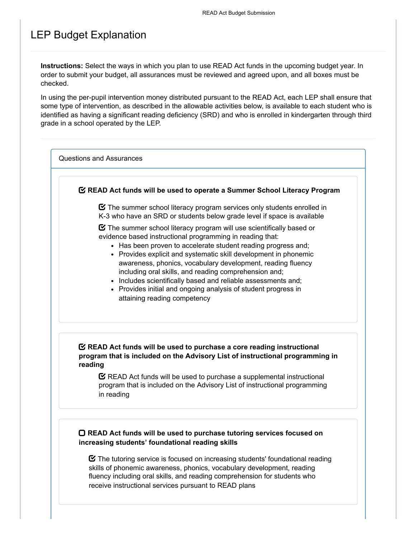## LEP Budget Explanation

**Instructions:** Select the ways in which you plan to use READ Act funds in the upcoming budget year. In order to submit your budget, all assurances must be reviewed and agreed upon, and all boxes must be checked.

In using the per-pupil intervention money distributed pursuant to the READ Act, each LEP shall ensure that some type of intervention, as described in the allowable activities below, is available to each student who is identified as having a significant reading deficiency (SRD) and who is enrolled in kindergarten through third grade in a school operated by the LEP.

Questions and Assurances

#### **READ Act funds will be used to operate a Summer School Literacy Program**

 $\boldsymbol{\heartsuit}$  The summer school literacy program services only students enrolled in K-3 who have an SRD or students below grade level if space is available

 $\boldsymbol{\Xi}$  The summer school literacy program will use scientifically based or evidence based instructional programming in reading that:

- Has been proven to accelerate student reading progress and;
- Provides explicit and systematic skill development in phonemic awareness, phonics, vocabulary development, reading fluency including oral skills, and reading comprehension and;
- Includes scientifically based and reliable assessments and;
- Provides initial and ongoing analysis of student progress in attaining reading competency

#### **READ Act funds will be used to purchase a core reading instructional program that is included on the Advisory List of instructional programming in reading**

 $\mathbf C$  READ Act funds will be used to purchase a supplemental instructional program that is included on the Advisory List of instructional programming in reading

#### **READ Act funds will be used to purchase tutoring services focused on increasing students' foundational reading skills**

 $\boldsymbol{\heartsuit}$  The tutoring service is focused on increasing students' foundational reading skills of phonemic awareness, phonics, vocabulary development, reading fluency including oral skills, and reading comprehension for students who receive instructional services pursuant to READ plans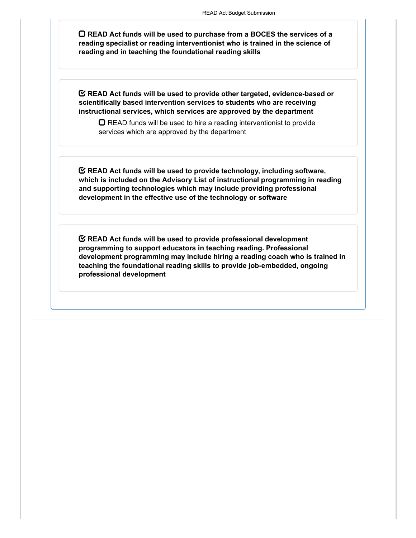**READ Act funds will be used to purchase from a BOCES the services of a reading specialist or reading interventionist who is trained in the science of reading and in teaching the foundational reading skills**

**READ Act funds will be used to provide other targeted, evidence-based or scientifically based intervention services to students who are receiving instructional services, which services are approved by the department**

 $\Box$  READ funds will be used to hire a reading interventionist to provide services which are approved by the department

**READ Act funds will be used to provide technology, including software, which is included on the Advisory List of instructional programming in reading and supporting technologies which may include providing professional development in the effective use of the technology or software**

**READ Act funds will be used to provide professional development programming to support educators in teaching reading. Professional development programming may include hiring a reading coach who is trained in teaching the foundational reading skills to provide job-embedded, ongoing professional development**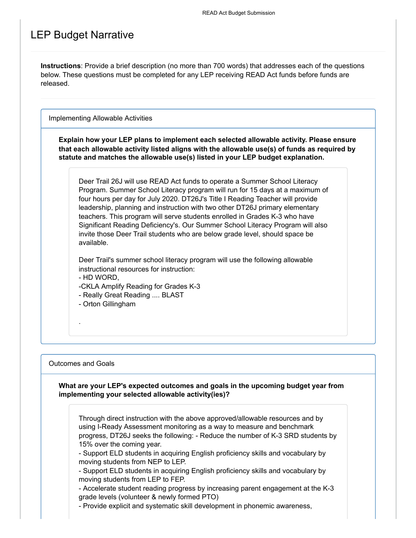## LEP Budget Narrative

**Instructions**: Provide a brief description (no more than 700 words) that addresses each of the questions below. These questions must be completed for any LEP receiving READ Act funds before funds are released.

Implementing Allowable Activities

**Explain how your LEP plans to implement each selected allowable activity. Please ensure that each allowable activity listed aligns with the allowable use(s) of funds as required by statute and matches the allowable use(s) listed in your LEP budget explanation.**

Deer Trail 26J will use READ Act funds to operate a Summer School Literacy Program. Summer School Literacy program will run for 15 days at a maximum of four hours per day for July 2020. DT26J's Title I Reading Teacher will provide leadership, planning and instruction with two other DT26J primary elementary teachers. This program will serve students enrolled in Grades K-3 who have Significant Reading Deficiency's. Our Summer School Literacy Program will also invite those Deer Trail students who are below grade level, should space be available.

Deer Trail's summer school literacy program will use the following allowable instructional resources for instruction:

- HD WORD,

-CKLA Amplify Reading for Grades K-3

- Really Great Reading .... BLAST

- Orton Gillingham

#### Outcomes and Goals

.

**What are your LEP's expected outcomes and goals in the upcoming budget year from implementing your selected allowable activity(ies)?**

Through direct instruction with the above approved/allowable resources and by using I-Ready Assessment monitoring as a way to measure and benchmark progress, DT26J seeks the following: - Reduce the number of K-3 SRD students by 15% over the coming year.

- Support ELD students in acquiring English proficiency skills and vocabulary by moving students from NEP to LEP.

- Support ELD students in acquiring English proficiency skills and vocabulary by moving students from LEP to FEP.

- Accelerate student reading progress by increasing parent engagement at the K-3 grade levels (volunteer & newly formed PTO)

- Provide explicit and systematic skill development in phonemic awareness,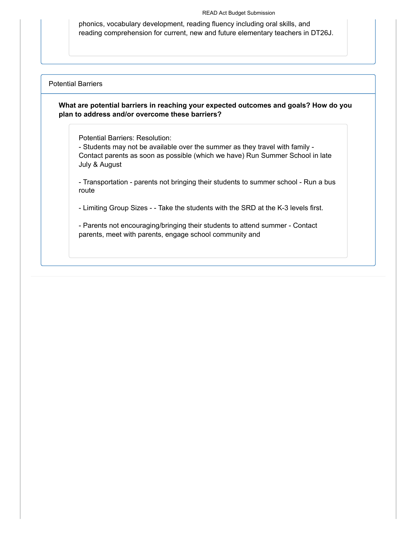phonics, vocabulary development, reading fluency including oral skills, and reading comprehension for current, new and future elementary teachers in DT26J.

#### Potential Barriers

#### **What are potential barriers in reaching your expected outcomes and goals? How do you plan to address and/or overcome these barriers?**

Potential Barriers: Resolution:

- Students may not be available over the summer as they travel with family - Contact parents as soon as possible (which we have) Run Summer School in late July & August

- Transportation - parents not bringing their students to summer school - Run a bus route

- Limiting Group Sizes - - Take the students with the SRD at the K-3 levels first.

- Parents not encouraging/bringing their students to attend summer - Contact parents, meet with parents, engage school community and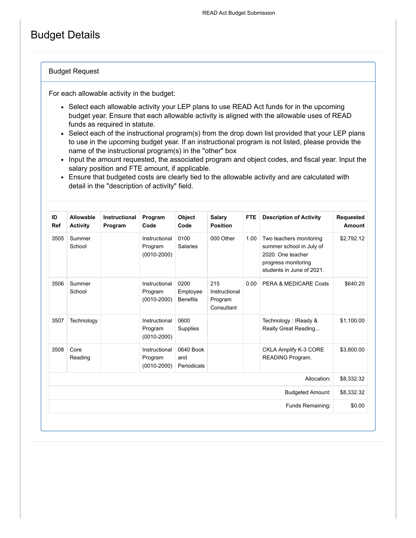# Budget Details

#### Budget Request

For each allowable activity in the budget:

- Select each allowable activity your LEP plans to use READ Act funds for in the upcoming budget year. Ensure that each allowable activity is aligned with the allowable uses of READ funds as required in statute.
- Select each of the instructional program(s) from the drop down list provided that your LEP plans to use in the upcoming budget year. If an instructional program is not listed, please provide the name of the instructional program(s) in the "other" box
- Input the amount requested, the associated program and object codes, and fiscal year. Input the salary position and FTE amount, if applicable.
- Ensure that budgeted costs are clearly tied to the allowable activity and are calculated with detail in the "description of activity" field.

| <b>Requested</b><br>Amount | <b>Description of Activity</b>                                                                                               | <b>FTE</b> | Salary<br><b>Position</b>                     | <b>Object</b><br>Code               | Program<br>Code                             | <b>Instructional</b><br>Program | Allowable<br><b>Activity</b> | ID<br><b>Ref</b> |
|----------------------------|------------------------------------------------------------------------------------------------------------------------------|------------|-----------------------------------------------|-------------------------------------|---------------------------------------------|---------------------------------|------------------------------|------------------|
| \$2,792.12                 | Two teachers monitoring<br>summer school in July of<br>2020. One teacher<br>progress monitoring<br>students in June of 2021. | 1.00       | 000 Other                                     | 0100<br><b>Salaries</b>             | Instructional<br>Program<br>$(0010 - 2000)$ |                                 | Summer<br>School             | 3505             |
| \$640.20                   | PERA & MEDICARE Costs                                                                                                        | 0.00       | 215<br>Instructional<br>Program<br>Consultant | 0200<br>Employee<br><b>Benefits</b> | Instructional<br>Program<br>$(0010 - 2000)$ |                                 | Summer<br>School             | 3506             |
| \$1.100.00                 | Technology: IReady &<br>Really Great Reading                                                                                 |            |                                               | 0600<br>Supplies                    | Instructional<br>Program<br>$(0010 - 2000)$ |                                 | Technology                   | 3507             |
| \$3,800.00                 | CKLA Amplify K-3 CORE<br>READING Program.                                                                                    |            |                                               | 0640 Book<br>and<br>Periodicals     | Instructional<br>Program<br>$(0010 - 2000)$ |                                 | Core<br>Reading              | 3508             |
| \$8,332.32                 | Allocation:                                                                                                                  |            |                                               |                                     |                                             |                                 |                              |                  |
| \$8,332.32                 | <b>Budgeted Amount:</b>                                                                                                      |            |                                               |                                     |                                             |                                 |                              |                  |
| \$0.00                     | Funds Remaining:                                                                                                             |            |                                               |                                     |                                             |                                 |                              |                  |